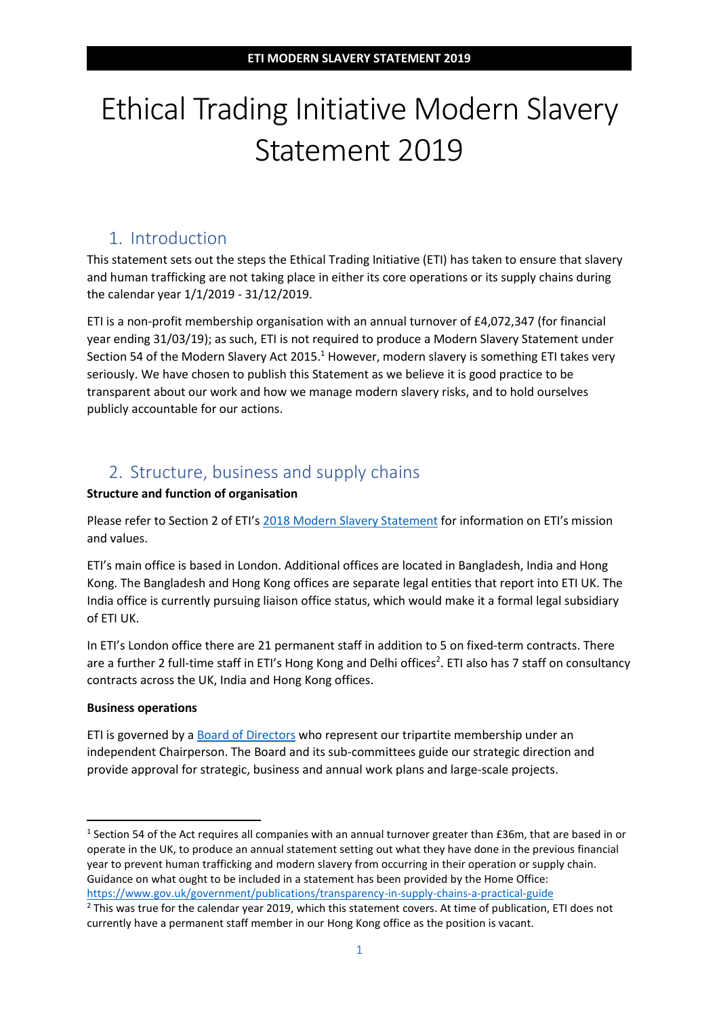# Ethical Trading Initiative Modern Slavery Statement 2019

### 1. Introduction

This statement sets out the steps the Ethical Trading Initiative (ETI) has taken to ensure that slavery and human trafficking are not taking place in either its core operations or its supply chains during the calendar year 1/1/2019 - 31/12/2019.

ETI is a non-profit membership organisation with an annual turnover of £4,072,347 (for financial year ending 31/03/19); as such, ETI is not required to produce a Modern Slavery Statement under Section 54 of the Modern Slavery Act 2015.<sup>1</sup> However, modern slavery is something ETI takes very seriously. We have chosen to publish this Statement as we believe it is good practice to be transparent about our work and how we manage modern slavery risks, and to hold ourselves publicly accountable for our actions.

#### 2. Structure, business and supply chains

#### **Structure and function of organisation**

Please refer to Section 2 of ETI's [2018 Modern Slavery Statement](https://www.ethicaltrade.org/resources/eti-modern-slavery-statement-2017-18) for information on ETI's mission and values.

ETI's main office is based in London. Additional offices are located in Bangladesh, India and Hong Kong. The Bangladesh and Hong Kong offices are separate legal entities that report into ETI UK. The India office is currently pursuing liaison office status, which would make it a formal legal subsidiary of ETI UK.

In ETI's London office there are 21 permanent staff in addition to 5 on fixed-term contracts. There are a further 2 full-time staff in ETI's Hong Kong and Delhi offices<sup>2</sup>. ETI also has 7 staff on consultancy contracts across the UK, India and Hong Kong offices.

#### **Business operations**

ETI is governed by a **Board of Directors** who represent our tripartite membership under an independent Chairperson. The Board and its sub-committees guide our strategic direction and provide approval for strategic, business and annual work plans and large-scale projects.

<sup>&</sup>lt;sup>1</sup> Section 54 of the Act requires all companies with an annual turnover greater than £36m, that are based in or operate in the UK, to produce an annual statement setting out what they have done in the previous financial year to prevent human trafficking and modern slavery from occurring in their operation or supply chain. Guidance on what ought to be included in a statement has been provided by the Home Office: <https://www.gov.uk/government/publications/transparency-in-supply-chains-a-practical-guide>

 $<sup>2</sup>$  This was true for the calendar year 2019, which this statement covers. At time of publication, ETI does not</sup> currently have a permanent staff member in our Hong Kong office as the position is vacant.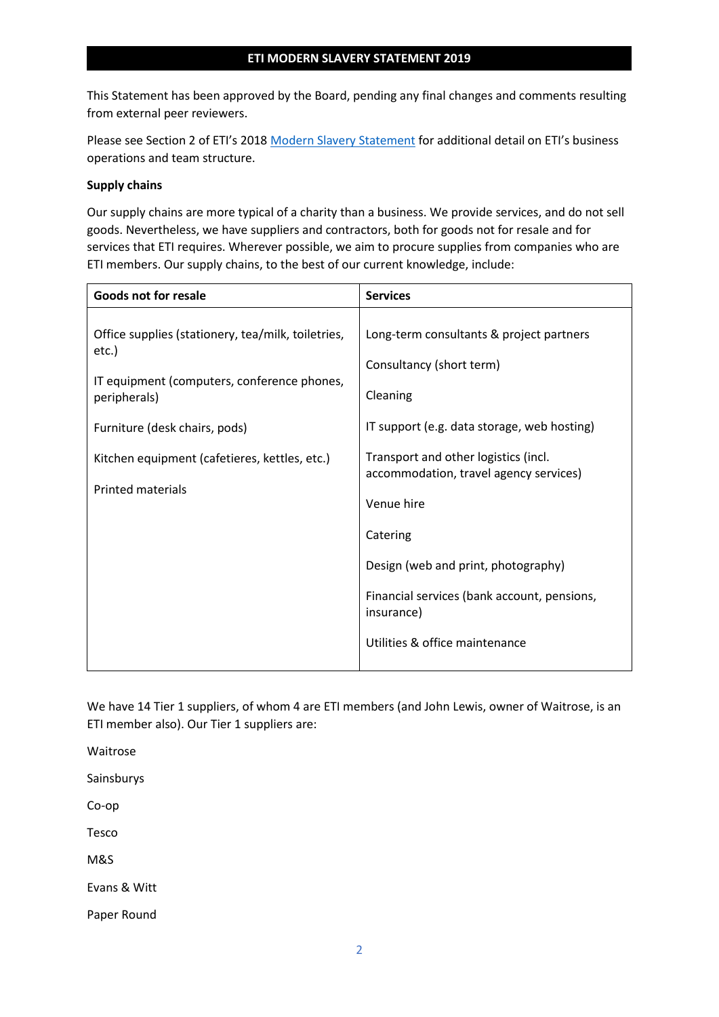This Statement has been approved by the Board, pending any final changes and comments resulting from external peer reviewers.

Please see Section 2 of ETI's 2018 [Modern Slavery Statement](https://www.ethicaltrade.org/resources/eti-modern-slavery-statement-2017-18) for additional detail on ETI's business operations and team structure.

#### **Supply chains**

Our supply chains are more typical of a charity than a business. We provide services, and do not sell goods. Nevertheless, we have suppliers and contractors, both for goods not for resale and for services that ETI requires. Wherever possible, we aim to procure supplies from companies who are ETI members. Our supply chains, to the best of our current knowledge, include:

| <b>Goods not for resale</b>                                                                                                                                                                                                              | <b>Services</b>                                                                                                                                                                                                                                                                                                                                                                   |
|------------------------------------------------------------------------------------------------------------------------------------------------------------------------------------------------------------------------------------------|-----------------------------------------------------------------------------------------------------------------------------------------------------------------------------------------------------------------------------------------------------------------------------------------------------------------------------------------------------------------------------------|
| Office supplies (stationery, tea/milk, toiletries,<br>etc.)<br>IT equipment (computers, conference phones,<br>peripherals)<br>Furniture (desk chairs, pods)<br>Kitchen equipment (cafetieres, kettles, etc.)<br><b>Printed materials</b> | Long-term consultants & project partners<br>Consultancy (short term)<br>Cleaning<br>IT support (e.g. data storage, web hosting)<br>Transport and other logistics (incl.<br>accommodation, travel agency services)<br>Venue hire<br>Catering<br>Design (web and print, photography)<br>Financial services (bank account, pensions,<br>insurance)<br>Utilities & office maintenance |

We have 14 Tier 1 suppliers, of whom 4 are ETI members (and John Lewis, owner of Waitrose, is an ETI member also). Our Tier 1 suppliers are:

Waitrose Sainsburys Co-op Tesco M&S Evans & Witt Paper Round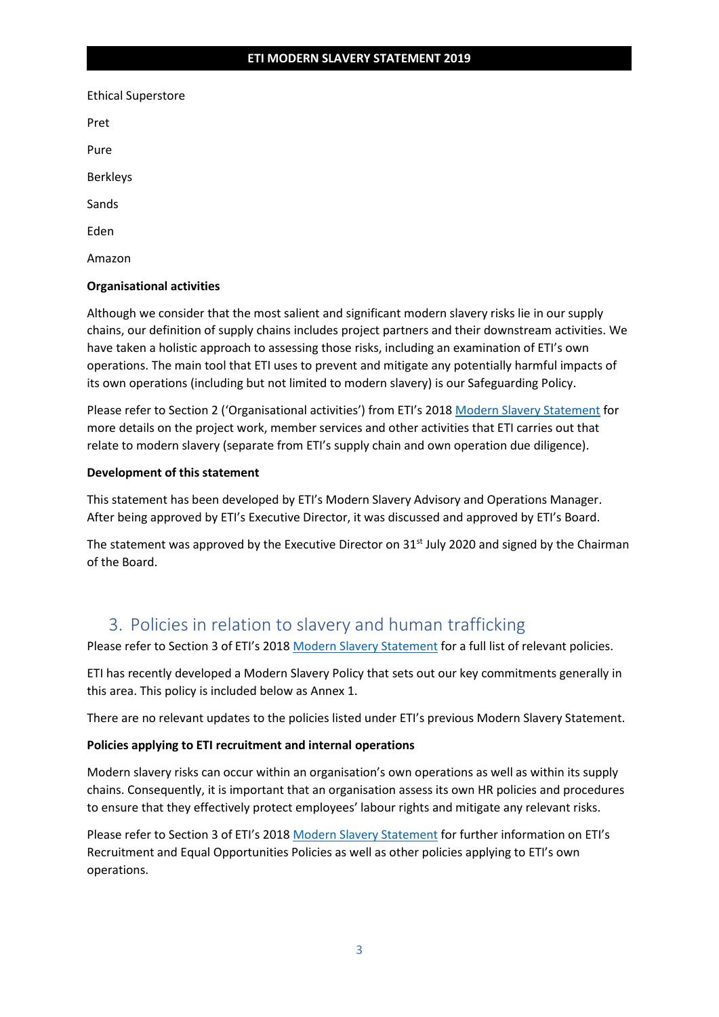| <b>Ethical Superstore</b> |
|---------------------------|
| Pret                      |
| Pure                      |
| <b>Berkleys</b>           |
| Sands                     |
| Eden                      |
| Amazon                    |

#### **Organisational activities**

Although we consider that the most salient and significant modern slavery risks lie in our supply chains, our definition of supply chains includes project partners and their downstream activities. We have taken a holistic approach to assessing those risks, including an examination of ETI's own operations. The main tool that ETI uses to prevent and mitigate any potentially harmful impacts of its own operations (including but not limited to modern slavery) is our Safeguarding Policy.

Please refer to Section 2 ('Organisational activities') from ETI's 2018 [Modern Slavery Statement](https://www.ethicaltrade.org/resources/eti-modern-slavery-statement-2017-18) for more details on the project work, member services and other activities that ETI carries out that relate to modern slavery (separate from ETI's supply chain and own operation due diligence).

#### **Development of this statement**

This statement has been developed by ETI's Modern Slavery Advisory and Operations Manager. After being approved by ETI's Executive Director, it was discussed and approved by ETI's Board.

The statement was approved by the Executive Director on  $31<sup>st</sup>$  July 2020 and signed by the Chairman of the Board.

#### 3. Policies in relation to slavery and human trafficking

Please refer to Section 3 of ETI's 2018 [Modern Slavery Statement](https://www.ethicaltrade.org/resources/eti-modern-slavery-statement-2017-18) for a full list of relevant policies.

ETI has recently developed a Modern Slavery Policy that sets out our key commitments generally in this area. This policy is included below as Annex 1.

There are no relevant updates to the policies listed under ETI's previous Modern Slavery Statement.

#### **Policies applying to ETI recruitment and internal operations**

Modern slavery risks can occur within an organisation's own operations as well as within its supply chains. Consequently, it is important that an organisation assess its own HR policies and procedures to ensure that they effectively protect employees' labour rights and mitigate any relevant risks.

Please refer to Section 3 of ETI's 2018 [Modern Slavery Statement](https://www.ethicaltrade.org/resources/eti-modern-slavery-statement-2017-18) for further information on ETI's Recruitment and Equal Opportunities Policies as well as other policies applying to ETI's own operations.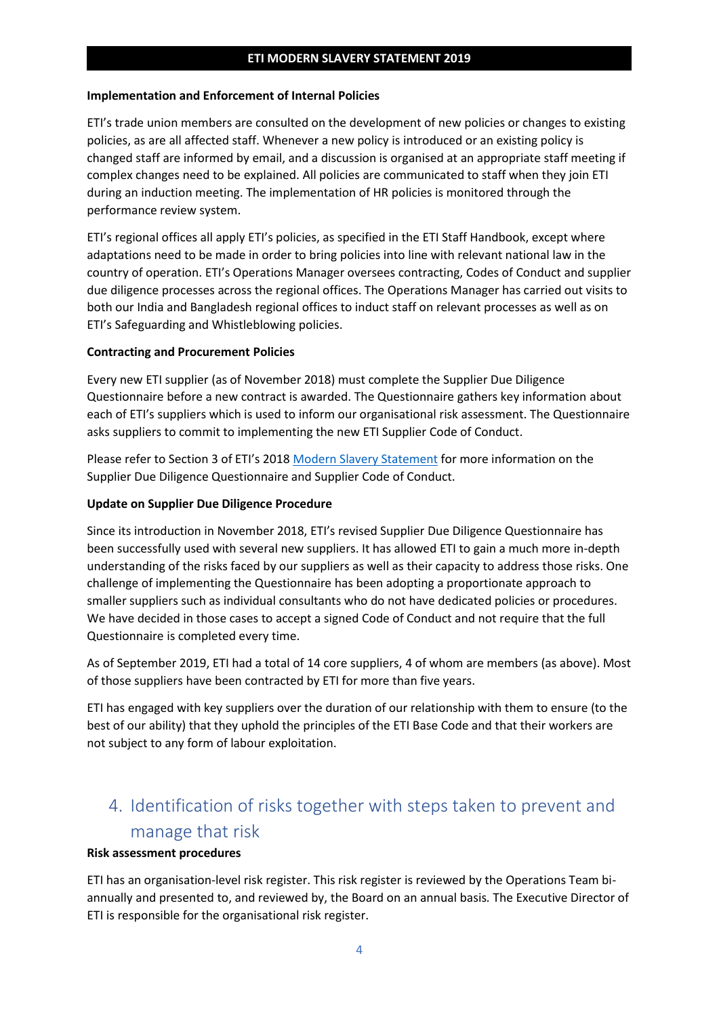#### **Implementation and Enforcement of Internal Policies**

ETI's trade union members are consulted on the development of new policies or changes to existing policies, as are all affected staff. Whenever a new policy is introduced or an existing policy is changed staff are informed by email, and a discussion is organised at an appropriate staff meeting if complex changes need to be explained. All policies are communicated to staff when they join ETI during an induction meeting. The implementation of HR policies is monitored through the performance review system.

ETI's regional offices all apply ETI's policies, as specified in the ETI Staff Handbook, except where adaptations need to be made in order to bring policies into line with relevant national law in the country of operation. ETI's Operations Manager oversees contracting, Codes of Conduct and supplier due diligence processes across the regional offices. The Operations Manager has carried out visits to both our India and Bangladesh regional offices to induct staff on relevant processes as well as on ETI's Safeguarding and Whistleblowing policies.

#### **Contracting and Procurement Policies**

Every new ETI supplier (as of November 2018) must complete the Supplier Due Diligence Questionnaire before a new contract is awarded. The Questionnaire gathers key information about each of ETI's suppliers which is used to inform our organisational risk assessment. The Questionnaire asks suppliers to commit to implementing the new ETI Supplier Code of Conduct.

Please refer to Section 3 of ETI's 2018 [Modern Slavery Statement](https://www.ethicaltrade.org/resources/eti-modern-slavery-statement-2017-18) for more information on the Supplier Due Diligence Questionnaire and Supplier Code of Conduct.

#### **Update on Supplier Due Diligence Procedure**

Since its introduction in November 2018, ETI's revised Supplier Due Diligence Questionnaire has been successfully used with several new suppliers. It has allowed ETI to gain a much more in-depth understanding of the risks faced by our suppliers as well as their capacity to address those risks. One challenge of implementing the Questionnaire has been adopting a proportionate approach to smaller suppliers such as individual consultants who do not have dedicated policies or procedures. We have decided in those cases to accept a signed Code of Conduct and not require that the full Questionnaire is completed every time.

As of September 2019, ETI had a total of 14 core suppliers, 4 of whom are members (as above). Most of those suppliers have been contracted by ETI for more than five years.

ETI has engaged with key suppliers over the duration of our relationship with them to ensure (to the best of our ability) that they uphold the principles of the ETI Base Code and that their workers are not subject to any form of labour exploitation.

# 4. Identification of risks together with steps taken to prevent and manage that risk

#### **Risk assessment procedures**

ETI has an organisation-level risk register. This risk register is reviewed by the Operations Team biannually and presented to, and reviewed by, the Board on an annual basis*.* The Executive Director of ETI is responsible for the organisational risk register.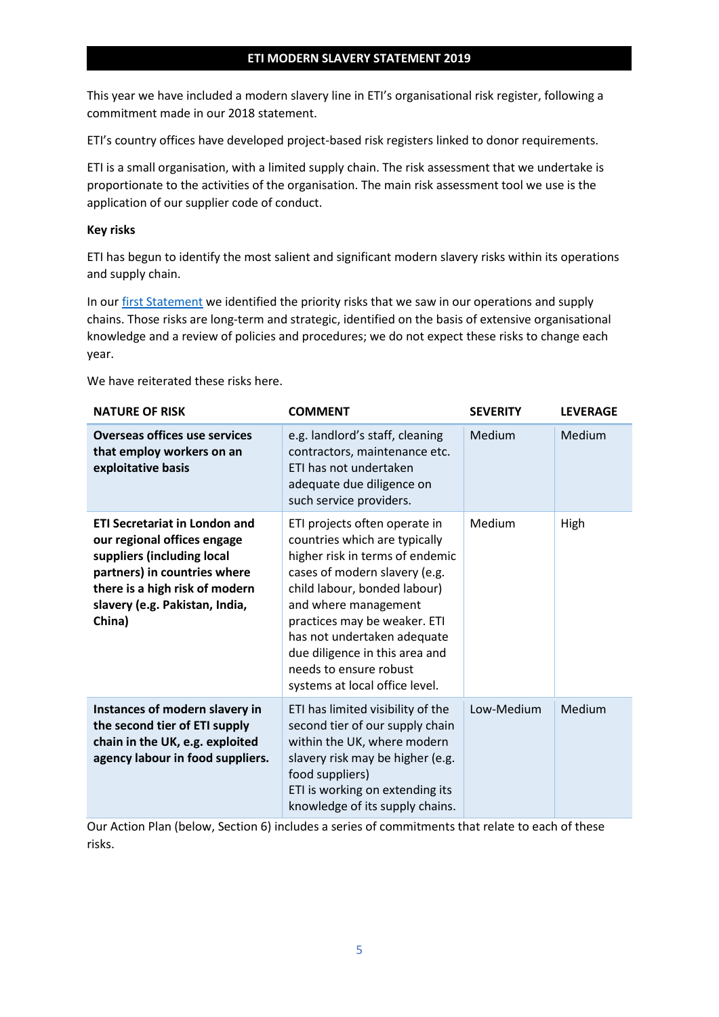This year we have included a modern slavery line in ETI's organisational risk register, following a commitment made in our 2018 statement.

ETI's country offices have developed project-based risk registers linked to donor requirements.

ETI is a small organisation, with a limited supply chain. The risk assessment that we undertake is proportionate to the activities of the organisation. The main risk assessment tool we use is the application of our supplier code of conduct.

#### **Key risks**

ETI has begun to identify the most salient and significant modern slavery risks within its operations and supply chain.

In our [first Statement](https://www.ethicaltrade.org/resources/eti-modern-slavery-statement-2017-18) we identified the priority risks that we saw in our operations and supply chains. Those risks are long-term and strategic, identified on the basis of extensive organisational knowledge and a review of policies and procedures; we do not expect these risks to change each year.

We have reiterated these risks here.

| <b>NATURE OF RISK</b>                                                                                                                                                                                           | <b>COMMENT</b>                                                                                                                                                                                                                                                                                                                                          | <b>SEVERITY</b> | <b>LEVERAGE</b> |
|-----------------------------------------------------------------------------------------------------------------------------------------------------------------------------------------------------------------|---------------------------------------------------------------------------------------------------------------------------------------------------------------------------------------------------------------------------------------------------------------------------------------------------------------------------------------------------------|-----------------|-----------------|
| <b>Overseas offices use services</b><br>that employ workers on an<br>exploitative basis                                                                                                                         | e.g. landlord's staff, cleaning<br>contractors, maintenance etc.<br>ETI has not undertaken<br>adequate due diligence on<br>such service providers.                                                                                                                                                                                                      | Medium          | Medium          |
| <b>ETI Secretariat in London and</b><br>our regional offices engage<br>suppliers (including local<br>partners) in countries where<br>there is a high risk of modern<br>slavery (e.g. Pakistan, India,<br>China) | ETI projects often operate in<br>countries which are typically<br>higher risk in terms of endemic<br>cases of modern slavery (e.g.<br>child labour, bonded labour)<br>and where management<br>practices may be weaker. ETI<br>has not undertaken adequate<br>due diligence in this area and<br>needs to ensure robust<br>systems at local office level. | Medium          | High            |
| Instances of modern slavery in<br>the second tier of ETI supply<br>chain in the UK, e.g. exploited<br>agency labour in food suppliers.                                                                          | ETI has limited visibility of the<br>second tier of our supply chain<br>within the UK, where modern<br>slavery risk may be higher (e.g.<br>food suppliers)<br>ETI is working on extending its<br>knowledge of its supply chains.                                                                                                                        | Low-Medium      | Medium          |

Our Action Plan (below, Section 6) includes a series of commitments that relate to each of these risks.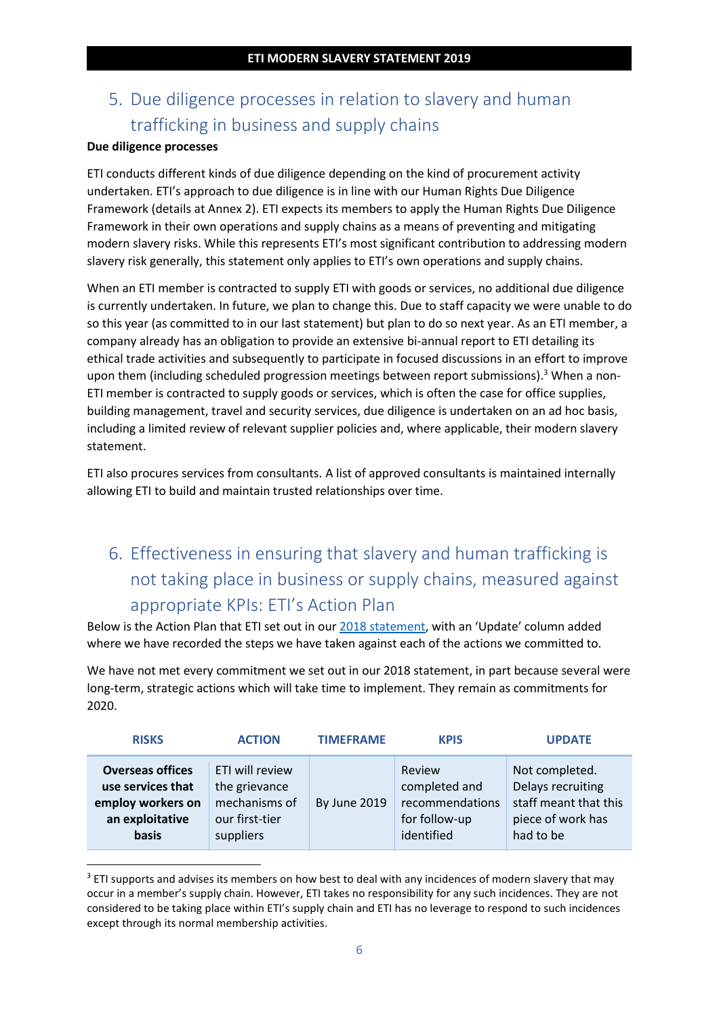# 5. Due diligence processes in relation to slavery and human trafficking in business and supply chains

#### **Due diligence processes**

ETI conducts different kinds of due diligence depending on the kind of procurement activity undertaken. ETI's approach to due diligence is in line with our Human Rights Due Diligence Framework (details at Annex 2). ETI expects its members to apply the Human Rights Due Diligence Framework in their own operations and supply chains as a means of preventing and mitigating modern slavery risks. While this represents ETI's most significant contribution to addressing modern slavery risk generally, this statement only applies to ETI's own operations and supply chains.

When an ETI member is contracted to supply ETI with goods or services, no additional due diligence is currently undertaken. In future, we plan to change this. Due to staff capacity we were unable to do so this year (as committed to in our last statement) but plan to do so next year. As an ETI member, a company already has an obligation to provide an extensive bi-annual report to ETI detailing its ethical trade activities and subsequently to participate in focused discussions in an effort to improve upon them (including scheduled progression meetings between report submissions).<sup>3</sup> When a non-ETI member is contracted to supply goods or services, which is often the case for office supplies, building management, travel and security services, due diligence is undertaken on an ad hoc basis, including a limited review of relevant supplier policies and, where applicable, their modern slavery statement.

ETI also procures services from consultants. A list of approved consultants is maintained internally allowing ETI to build and maintain trusted relationships over time.

# 6. Effectiveness in ensuring that slavery and human trafficking is not taking place in business or supply chains, measured against appropriate KPIs: ETI's Action Plan

Below is the Action Plan that ETI set out in our [2018 statement](https://www.ethicaltrade.org/resources/eti-modern-slavery-statement-2017-18), with an 'Update' column added where we have recorded the steps we have taken against each of the actions we committed to.

We have not met every commitment we set out in our 2018 statement, in part because several were long-term, strategic actions which will take time to implement. They remain as commitments for 2020.

| <b>RISKS</b>            | <b>ACTION</b>   | <b>TIMEFRAME</b>    | <b>KPIS</b>     | <b>UPDATE</b>         |
|-------------------------|-----------------|---------------------|-----------------|-----------------------|
| <b>Overseas offices</b> | ETI will review | <b>By June 2019</b> | Review          | Not completed.        |
| use services that       | the grievance   |                     | completed and   | Delays recruiting     |
| employ workers on       | mechanisms of   |                     | recommendations | staff meant that this |
| an exploitative         | our first-tier  |                     | for follow-up   | piece of work has     |
| basis                   | suppliers       |                     | identified      | had to be             |

 $3$  ETI supports and advises its members on how best to deal with any incidences of modern slavery that may occur in a member's supply chain. However, ETI takes no responsibility for any such incidences. They are not considered to be taking place within ETI's supply chain and ETI has no leverage to respond to such incidences except through its normal membership activities.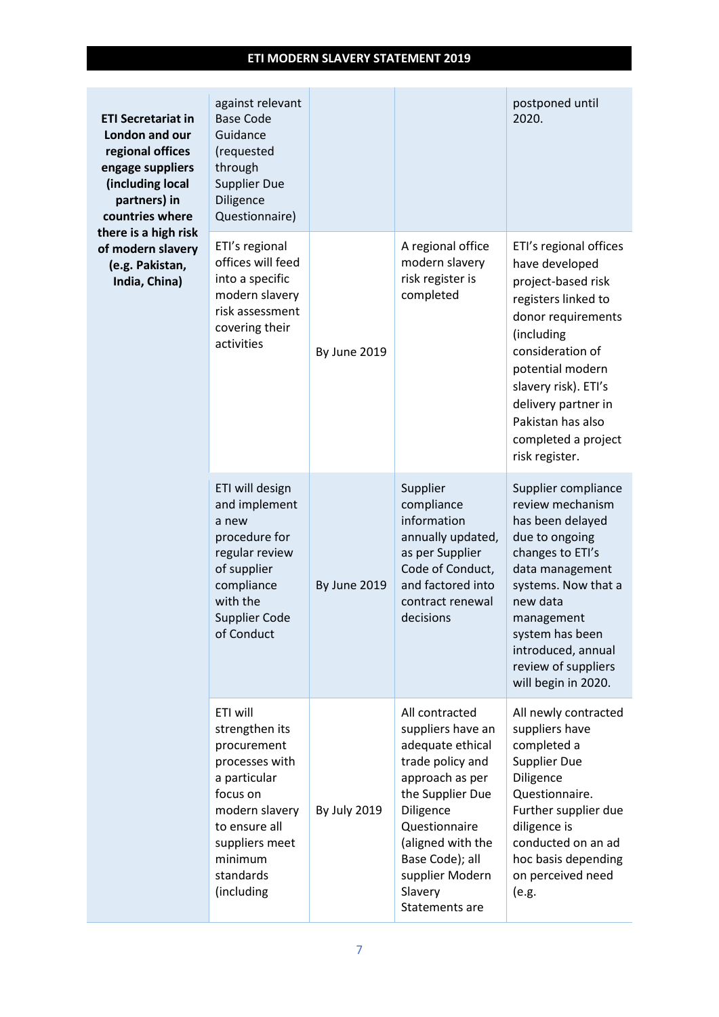| <b>ETI Secretariat in</b><br>London and our<br>regional offices<br>engage suppliers<br>(including local<br>partners) in<br>countries where | against relevant<br><b>Base Code</b><br>Guidance<br>(requested<br>through<br><b>Supplier Due</b><br>Diligence<br>Questionnaire)                                                    |                     |                                                                                                                                                                                                                                          | postponed until<br>2020.                                                                                                                                                                                                                                                       |
|--------------------------------------------------------------------------------------------------------------------------------------------|------------------------------------------------------------------------------------------------------------------------------------------------------------------------------------|---------------------|------------------------------------------------------------------------------------------------------------------------------------------------------------------------------------------------------------------------------------------|--------------------------------------------------------------------------------------------------------------------------------------------------------------------------------------------------------------------------------------------------------------------------------|
| there is a high risk<br>of modern slavery<br>(e.g. Pakistan,<br>India, China)                                                              | ETI's regional<br>offices will feed<br>into a specific<br>modern slavery<br>risk assessment<br>covering their<br>activities                                                        | <b>By June 2019</b> | A regional office<br>modern slavery<br>risk register is<br>completed                                                                                                                                                                     | ETI's regional offices<br>have developed<br>project-based risk<br>registers linked to<br>donor requirements<br>(including<br>consideration of<br>potential modern<br>slavery risk). ETI's<br>delivery partner in<br>Pakistan has also<br>completed a project<br>risk register. |
|                                                                                                                                            | ETI will design<br>and implement<br>a new<br>procedure for<br>regular review<br>of supplier<br>compliance<br>with the<br><b>Supplier Code</b><br>of Conduct                        | By June 2019        | Supplier<br>compliance<br>information<br>annually updated,<br>as per Supplier<br>Code of Conduct,<br>and factored into<br>contract renewal<br>decisions                                                                                  | Supplier compliance<br>review mechanism<br>has been delayed<br>due to ongoing<br>changes to ETI's<br>data management<br>systems. Now that a<br>new data<br>management<br>system has been<br>introduced, annual<br>review of suppliers<br>will begin in 2020.                   |
|                                                                                                                                            | ETI will<br>strengthen its<br>procurement<br>processes with<br>a particular<br>focus on<br>modern slavery<br>to ensure all<br>suppliers meet<br>minimum<br>standards<br>(including | <b>By July 2019</b> | All contracted<br>suppliers have an<br>adequate ethical<br>trade policy and<br>approach as per<br>the Supplier Due<br>Diligence<br>Questionnaire<br>(aligned with the<br>Base Code); all<br>supplier Modern<br>Slavery<br>Statements are | All newly contracted<br>suppliers have<br>completed a<br><b>Supplier Due</b><br>Diligence<br>Questionnaire.<br>Further supplier due<br>diligence is<br>conducted on an ad<br>hoc basis depending<br>on perceived need<br>(e.g.                                                 |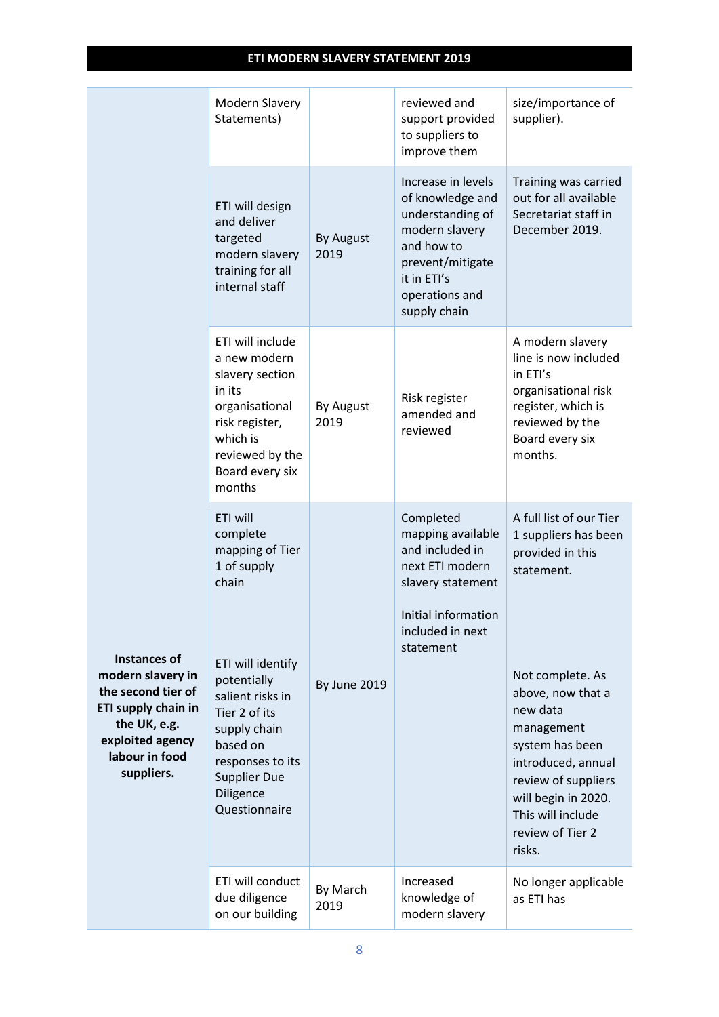|                                                                                                                                                           | Modern Slavery<br>Statements)                                                                                                                                              |                          | reviewed and<br>support provided<br>to suppliers to<br>improve them                                                                                             | size/importance of<br>supplier).                                                                                                                                                                          |
|-----------------------------------------------------------------------------------------------------------------------------------------------------------|----------------------------------------------------------------------------------------------------------------------------------------------------------------------------|--------------------------|-----------------------------------------------------------------------------------------------------------------------------------------------------------------|-----------------------------------------------------------------------------------------------------------------------------------------------------------------------------------------------------------|
|                                                                                                                                                           | ETI will design<br>and deliver<br>targeted<br>modern slavery<br>training for all<br>internal staff                                                                         | <b>By August</b><br>2019 | Increase in levels<br>of knowledge and<br>understanding of<br>modern slavery<br>and how to<br>prevent/mitigate<br>it in ETI's<br>operations and<br>supply chain | Training was carried<br>out for all available<br>Secretariat staff in<br>December 2019.                                                                                                                   |
|                                                                                                                                                           | ETI will include<br>a new modern<br>slavery section<br>in its<br>organisational<br>risk register,<br>which is<br>reviewed by the<br>Board every six<br>months              | By August<br>2019        | Risk register<br>amended and<br>reviewed                                                                                                                        | A modern slavery<br>line is now included<br>in ETI's<br>organisational risk<br>register, which is<br>reviewed by the<br>Board every six<br>months.                                                        |
|                                                                                                                                                           | ETI will<br>complete<br>mapping of Tier<br>1 of supply<br>chain                                                                                                            |                          | Completed<br>mapping available<br>and included in<br>next ETI modern<br>slavery statement<br>Initial information<br>included in next<br>statement               | A full list of our Tier<br>1 suppliers has been<br>provided in this<br>statement.                                                                                                                         |
| <b>Instances of</b><br>modern slavery in<br>the second tier of<br>ETI supply chain in<br>the UK, e.g.<br>exploited agency<br>labour in food<br>suppliers. | ETI will identify<br>potentially<br>salient risks in<br>Tier 2 of its<br>supply chain<br>based on<br>responses to its<br><b>Supplier Due</b><br>Diligence<br>Questionnaire | By June 2019             |                                                                                                                                                                 | Not complete. As<br>above, now that a<br>new data<br>management<br>system has been<br>introduced, annual<br>review of suppliers<br>will begin in 2020.<br>This will include<br>review of Tier 2<br>risks. |
|                                                                                                                                                           | ETI will conduct<br>due diligence<br>on our building                                                                                                                       | By March<br>2019         | Increased<br>knowledge of<br>modern slavery                                                                                                                     | No longer applicable<br>as ETI has                                                                                                                                                                        |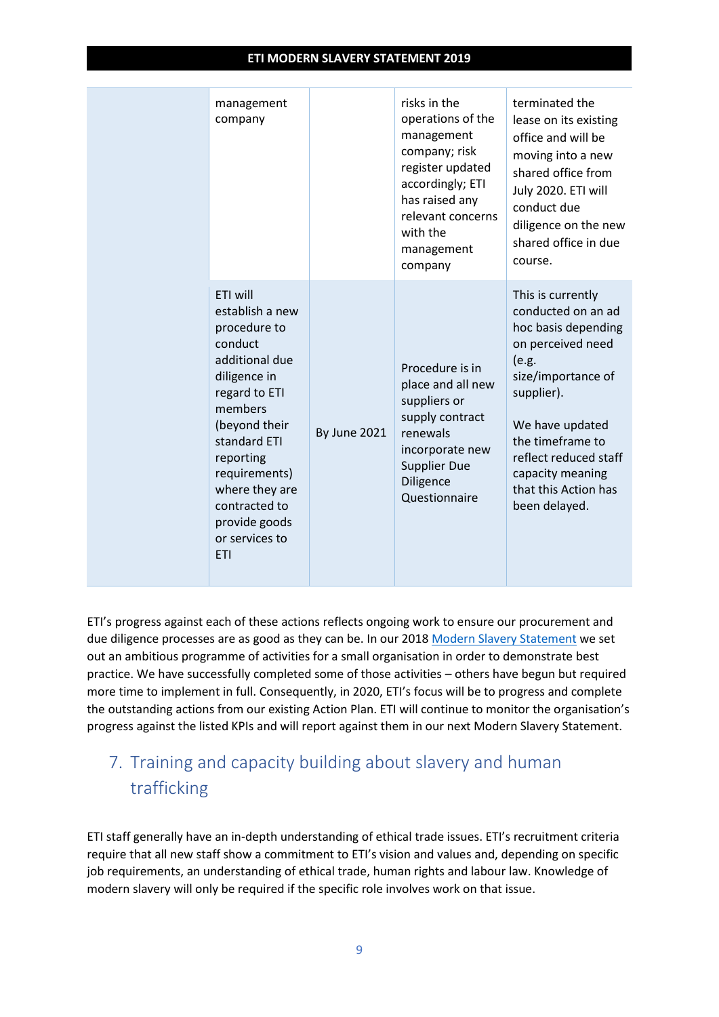| management<br>company                                                                                                                                                                                                                                                   |                     | risks in the<br>operations of the<br>management<br>company; risk<br>register updated<br>accordingly; ETI<br>has raised any<br>relevant concerns<br>with the<br>management<br>company | terminated the<br>lease on its existing<br>office and will be<br>moving into a new<br>shared office from<br>July 2020. ETI will<br>conduct due<br>diligence on the new<br>shared office in due<br>course.                                                     |
|-------------------------------------------------------------------------------------------------------------------------------------------------------------------------------------------------------------------------------------------------------------------------|---------------------|--------------------------------------------------------------------------------------------------------------------------------------------------------------------------------------|---------------------------------------------------------------------------------------------------------------------------------------------------------------------------------------------------------------------------------------------------------------|
| ETI will<br>establish a new<br>procedure to<br>conduct<br>additional due<br>diligence in<br>regard to ETI<br>members<br>(beyond their<br>standard ETI<br>reporting<br>requirements)<br>where they are<br>contracted to<br>provide goods<br>or services to<br><b>ETI</b> | <b>By June 2021</b> | Procedure is in<br>place and all new<br>suppliers or<br>supply contract<br>renewals<br>incorporate new<br><b>Supplier Due</b><br>Diligence<br>Questionnaire                          | This is currently<br>conducted on an ad<br>hoc basis depending<br>on perceived need<br>(e.g.<br>size/importance of<br>supplier).<br>We have updated<br>the timeframe to<br>reflect reduced staff<br>capacity meaning<br>that this Action has<br>been delayed. |

ETI's progress against each of these actions reflects ongoing work to ensure our procurement and due diligence processes are as good as they can be. In our 201[8 Modern Slavery Statement](https://www.ethicaltrade.org/resources/eti-modern-slavery-statement-2017-18) we set out an ambitious programme of activities for a small organisation in order to demonstrate best practice. We have successfully completed some of those activities – others have begun but required more time to implement in full. Consequently, in 2020, ETI's focus will be to progress and complete the outstanding actions from our existing Action Plan. ETI will continue to monitor the organisation's progress against the listed KPIs and will report against them in our next Modern Slavery Statement.

## 7. Training and capacity building about slavery and human trafficking

ETI staff generally have an in-depth understanding of ethical trade issues. ETI's recruitment criteria require that all new staff show a commitment to ETI's vision and values and, depending on specific job requirements, an understanding of ethical trade, human rights and labour law. Knowledge of modern slavery will only be required if the specific role involves work on that issue.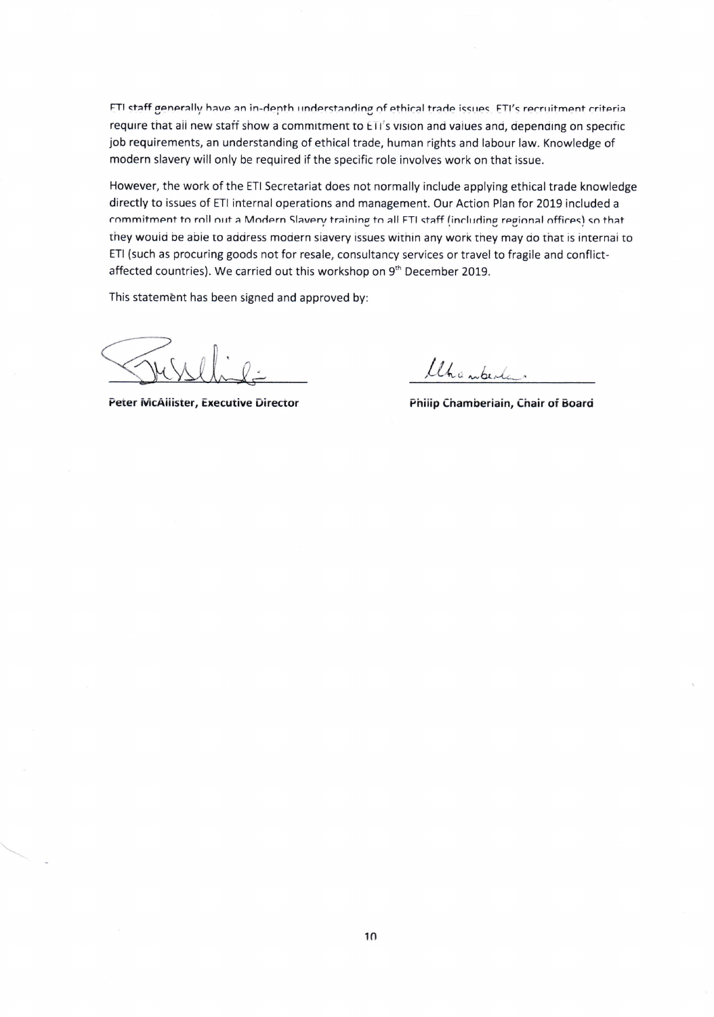ETI staff generally have an in-depth understanding of ethical trade issues. ETI's recruitment criteria require that all new staff show a commitment to ETI's vision and values and, depending on specific job requirements, an understanding of ethical trade, human rights and labour law. Knowledge of modern slavery will only be required if the specific role involves work on that issue.

However, the work of the ETI Secretariat does not normally include applying ethical trade knowledge directly to issues of ETI internal operations and management. Our Action Plan for 2019 included <sup>a</sup> commitment to roll out a Modern Slavery training to all FTI staff (including regional offices) so that they would be able to address modern slavery issues within any work they may do that is internal to ETI (such as procuring goods not for resale, consultancy services or travel to fragile and conflictaffected countries). We carried out this workshop on 9<sup>th</sup> December 2019.

This statement has been signed and approved by:

Uhanberta.

Peter McAllister, Executive Director **Philip Chamberiain, Chair of Board**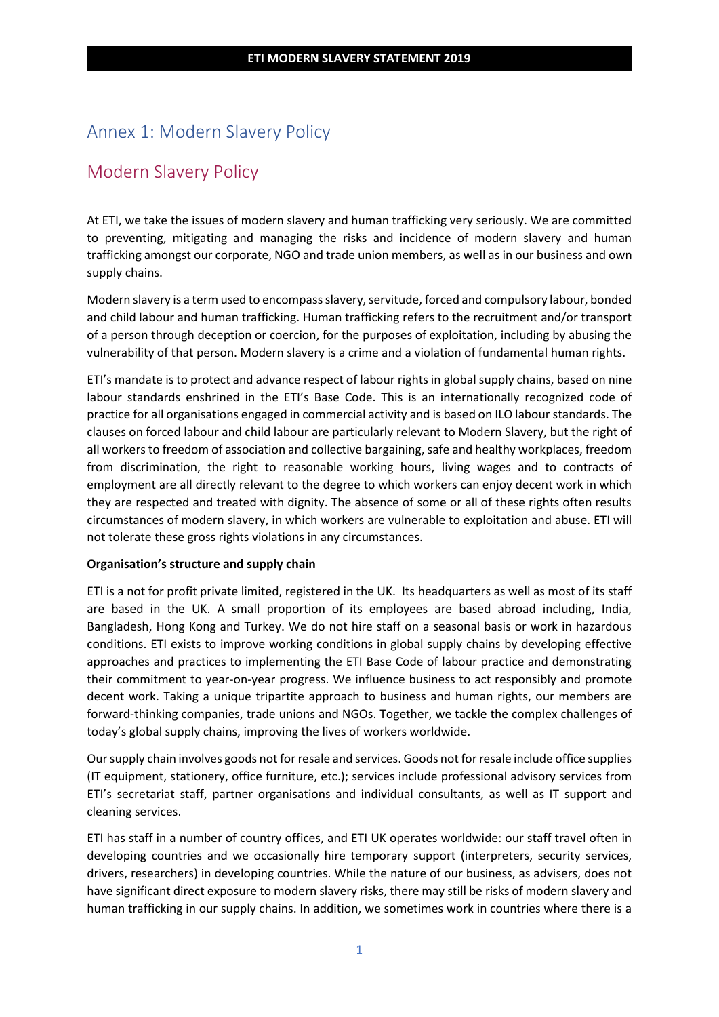#### Annex 1: Modern Slavery Policy

#### Modern Slavery Policy

At ETI, we take the issues of modern slavery and human trafficking very seriously. We are committed to preventing, mitigating and managing the risks and incidence of modern slavery and human trafficking amongst our corporate, NGO and trade union members, as well as in our business and own supply chains.

Modern slavery is a term used to encompass slavery, servitude, forced and compulsory labour, bonded and child labour and human trafficking. Human trafficking refers to the recruitment and/or transport of a person through deception or coercion, for the purposes of exploitation, including by abusing the vulnerability of that person. Modern slavery is a crime and a violation of fundamental human rights.

ETI's mandate is to protect and advance respect of labour rights in global supply chains, based on nine labour standards enshrined in the ETI's Base Code. This is an internationally recognized code of practice for all organisations engaged in commercial activity and is based on ILO labour standards. The clauses on forced labour and child labour are particularly relevant to Modern Slavery, but the right of all workers to freedom of association and collective bargaining, safe and healthy workplaces, freedom from discrimination, the right to reasonable working hours, living wages and to contracts of employment are all directly relevant to the degree to which workers can enjoy decent work in which they are respected and treated with dignity. The absence of some or all of these rights often results circumstances of modern slavery, in which workers are vulnerable to exploitation and abuse. ETI will not tolerate these gross rights violations in any circumstances.

#### **Organisation's structure and supply chain**

ETI is a not for profit private limited, registered in the UK. Its headquarters as well as most of its staff are based in the UK. A small proportion of its employees are based abroad including, India, Bangladesh, Hong Kong and Turkey. We do not hire staff on a seasonal basis or work in hazardous conditions. ETI exists to improve working conditions in global supply chains by developing effective approaches and practices to implementing the ETI Base Code of labour practice and demonstrating their commitment to year-on-year progress. We influence business to act responsibly and promote decent work. Taking a unique tripartite approach to business and human rights, our members are forward-thinking companies, trade unions and NGOs. Together, we tackle the complex challenges of today's global supply chains, improving the lives of workers worldwide.

Our supply chain involves goods not for resale and services. Goods not for resale include office supplies (IT equipment, stationery, office furniture, etc.); services include professional advisory services from ETI's secretariat staff, partner organisations and individual consultants, as well as IT support and cleaning services.

ETI has staff in a number of country offices, and ETI UK operates worldwide: our staff travel often in developing countries and we occasionally hire temporary support (interpreters, security services, drivers, researchers) in developing countries. While the nature of our business, as advisers, does not have significant direct exposure to modern slavery risks, there may still be risks of modern slavery and human trafficking in our supply chains. In addition, we sometimes work in countries where there is a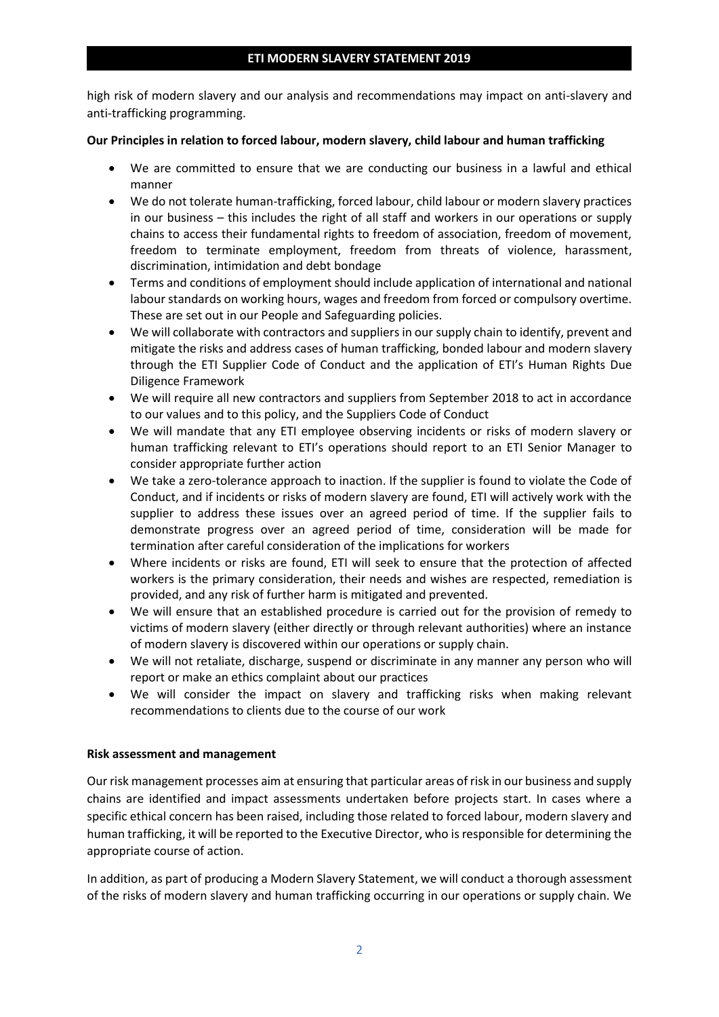high risk of modern slavery and our analysis and recommendations may impact on anti-slavery and anti-trafficking programming.

#### **Our Principles in relation to forced labour, modern slavery, child labour and human trafficking**

- We are committed to ensure that we are conducting our business in a lawful and ethical manner
- We do not tolerate human-trafficking, forced labour, child labour or modern slavery practices in our business – this includes the right of all staff and workers in our operations or supply chains to access their fundamental rights to freedom of association, freedom of movement, freedom to terminate employment, freedom from threats of violence, harassment, discrimination, intimidation and debt bondage
- Terms and conditions of employment should include application of international and national labour standards on working hours, wages and freedom from forced or compulsory overtime. These are set out in our People and Safeguarding policies.
- We will collaborate with contractors and suppliers in our supply chain to identify, prevent and mitigate the risks and address cases of human trafficking, bonded labour and modern slavery through the ETI Supplier Code of Conduct and the application of ETI's Human Rights Due Diligence Framework
- We will require all new contractors and suppliers from September 2018 to act in accordance to our values and to this policy, and the Suppliers Code of Conduct
- We will mandate that any ETI employee observing incidents or risks of modern slavery or human trafficking relevant to ETI's operations should report to an ETI Senior Manager to consider appropriate further action
- We take a zero-tolerance approach to inaction. If the supplier is found to violate the Code of Conduct, and if incidents or risks of modern slavery are found, ETI will actively work with the supplier to address these issues over an agreed period of time. If the supplier fails to demonstrate progress over an agreed period of time, consideration will be made for termination after careful consideration of the implications for workers
- Where incidents or risks are found, ETI will seek to ensure that the protection of affected workers is the primary consideration, their needs and wishes are respected, remediation is provided, and any risk of further harm is mitigated and prevented.
- We will ensure that an established procedure is carried out for the provision of remedy to victims of modern slavery (either directly or through relevant authorities) where an instance of modern slavery is discovered within our operations or supply chain.
- We will not retaliate, discharge, suspend or discriminate in any manner any person who will report or make an ethics complaint about our practices
- We will consider the impact on slavery and trafficking risks when making relevant recommendations to clients due to the course of our work

#### **Risk assessment and management**

Our risk management processes aim at ensuring that particular areas of risk in our business and supply chains are identified and impact assessments undertaken before projects start. In cases where a specific ethical concern has been raised, including those related to forced labour, modern slavery and human trafficking, it will be reported to the Executive Director, who is responsible for determining the appropriate course of action.

In addition, as part of producing a Modern Slavery Statement, we will conduct a thorough assessment of the risks of modern slavery and human trafficking occurring in our operations or supply chain. We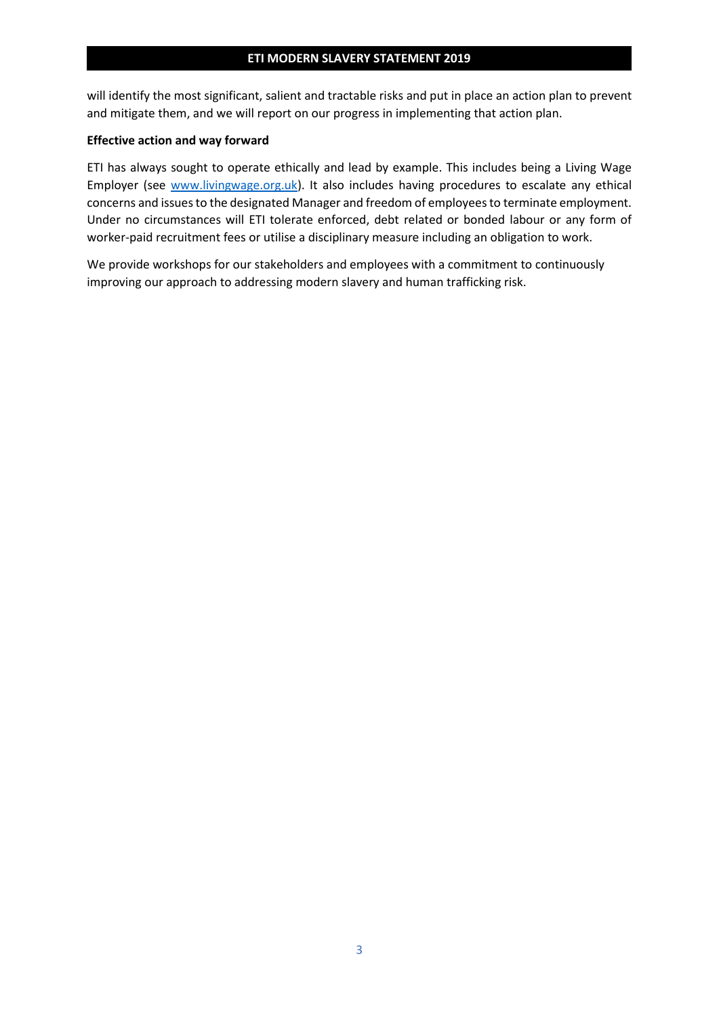will identify the most significant, salient and tractable risks and put in place an action plan to prevent and mitigate them, and we will report on our progress in implementing that action plan.

#### **Effective action and way forward**

ETI has always sought to operate ethically and lead by example. This includes being a Living Wage Employer (see [www.livingwage.org.uk\)](http://www.livingwage.org.uk/). It also includes having procedures to escalate any ethical concerns and issues to the designated Manager and freedom of employees to terminate employment. Under no circumstances will ETI tolerate enforced, debt related or bonded labour or any form of worker-paid recruitment fees or utilise a disciplinary measure including an obligation to work.

We provide workshops for our stakeholders and employees with a commitment to continuously improving our approach to addressing modern slavery and human trafficking risk.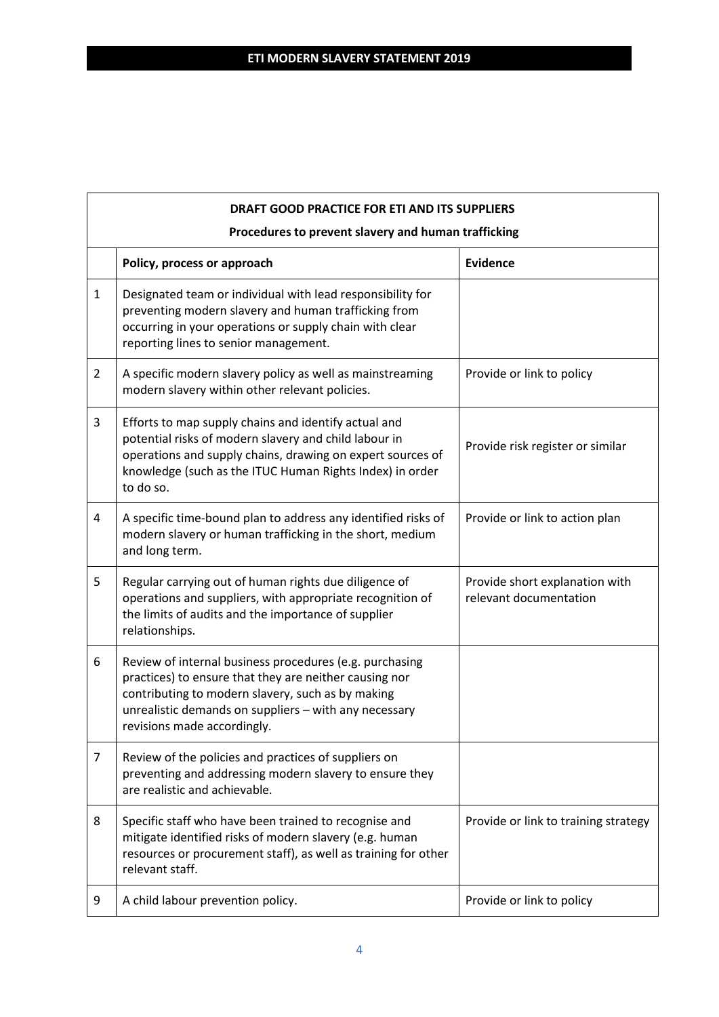|                | DRAFT GOOD PRACTICE FOR ETI AND ITS SUPPLIERS                                                                                                                                                                                                                  |                                                          |  |  |  |
|----------------|----------------------------------------------------------------------------------------------------------------------------------------------------------------------------------------------------------------------------------------------------------------|----------------------------------------------------------|--|--|--|
|                | Procedures to prevent slavery and human trafficking                                                                                                                                                                                                            |                                                          |  |  |  |
|                | Policy, process or approach                                                                                                                                                                                                                                    | <b>Evidence</b>                                          |  |  |  |
| $\mathbf{1}$   | Designated team or individual with lead responsibility for<br>preventing modern slavery and human trafficking from<br>occurring in your operations or supply chain with clear<br>reporting lines to senior management.                                         |                                                          |  |  |  |
| $\overline{2}$ | A specific modern slavery policy as well as mainstreaming<br>modern slavery within other relevant policies.                                                                                                                                                    | Provide or link to policy                                |  |  |  |
| 3              | Efforts to map supply chains and identify actual and<br>potential risks of modern slavery and child labour in<br>operations and supply chains, drawing on expert sources of<br>knowledge (such as the ITUC Human Rights Index) in order<br>to do so.           | Provide risk register or similar                         |  |  |  |
| 4              | A specific time-bound plan to address any identified risks of<br>modern slavery or human trafficking in the short, medium<br>and long term.                                                                                                                    | Provide or link to action plan                           |  |  |  |
| 5              | Regular carrying out of human rights due diligence of<br>operations and suppliers, with appropriate recognition of<br>the limits of audits and the importance of supplier<br>relationships.                                                                    | Provide short explanation with<br>relevant documentation |  |  |  |
| 6              | Review of internal business procedures (e.g. purchasing<br>practices) to ensure that they are neither causing nor<br>contributing to modern slavery, such as by making<br>unrealistic demands on suppliers - with any necessary<br>revisions made accordingly. |                                                          |  |  |  |
| 7              | Review of the policies and practices of suppliers on<br>preventing and addressing modern slavery to ensure they<br>are realistic and achievable.                                                                                                               |                                                          |  |  |  |
| 8              | Specific staff who have been trained to recognise and<br>mitigate identified risks of modern slavery (e.g. human<br>resources or procurement staff), as well as training for other<br>relevant staff.                                                          | Provide or link to training strategy                     |  |  |  |
| 9              | A child labour prevention policy.                                                                                                                                                                                                                              | Provide or link to policy                                |  |  |  |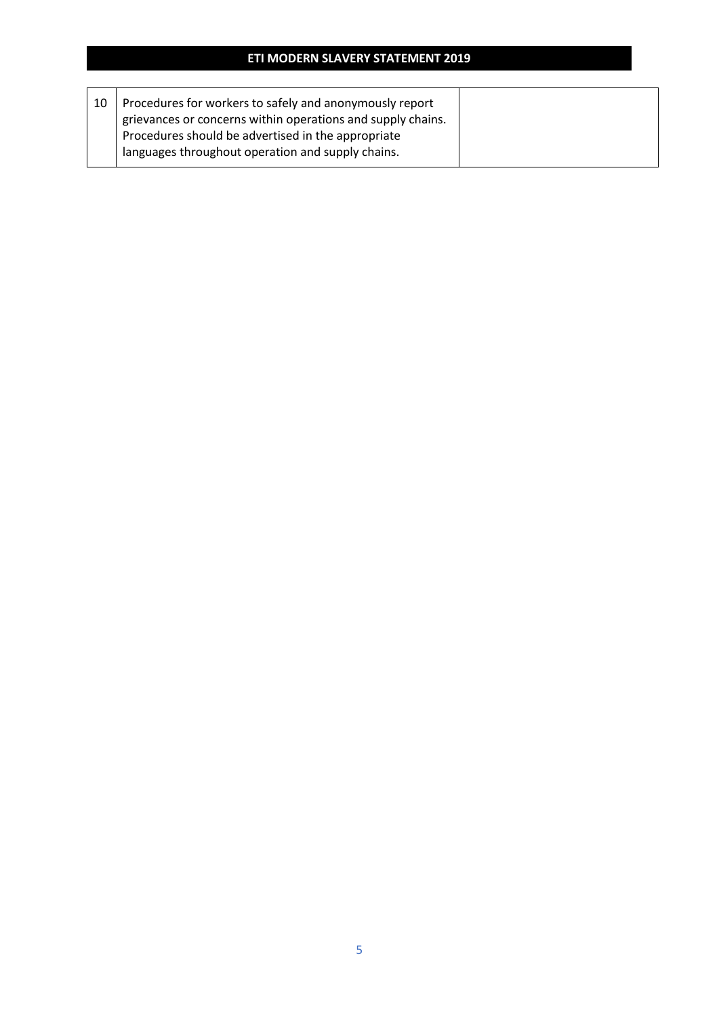|--|